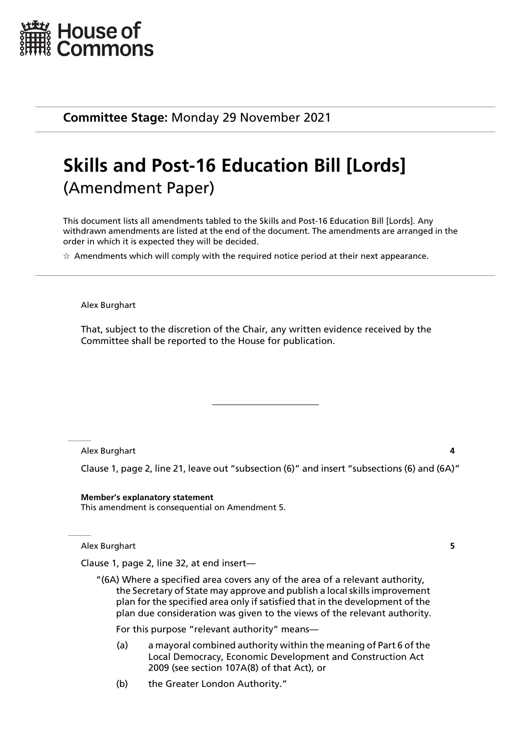

**Committee Stage:** Monday 29 November 2021

# **Skills and Post-16 Education Bill [Lords]** (Amendment Paper)

This document lists all amendments tabled to the Skills and Post-16 Education Bill [Lords]. Any withdrawn amendments are listed at the end of the document. The amendments are arranged in the order in which it is expected they will be decided.

 $\star$  Amendments which will comply with the required notice period at their next appearance.

#### Alex Burghart

That, subject to the discretion of the Chair, any written evidence received by the Committee shall be reported to the House for publication.

Alex Burghart **4**

Clause 1, page 2, line 21, leave out "subsection (6)" and insert "subsections (6) and (6A)"

**Member's explanatory statement** This amendment is consequential on Amendment 5.

Alex Burghart **5**

Clause 1, page 2, line 32, at end insert—

"(6A) Where a specified area covers any of the area of a relevant authority, the Secretary of State may approve and publish a local skills improvement plan for the specified area only if satisfied that in the development of the plan due consideration was given to the views of the relevant authority.

For this purpose "relevant authority" means—

- (a) a mayoral combined authority within the meaning of Part 6 of the Local Democracy, Economic Development and Construction Act 2009 (see section 107A(8) of that Act), or
- (b) the Greater London Authority."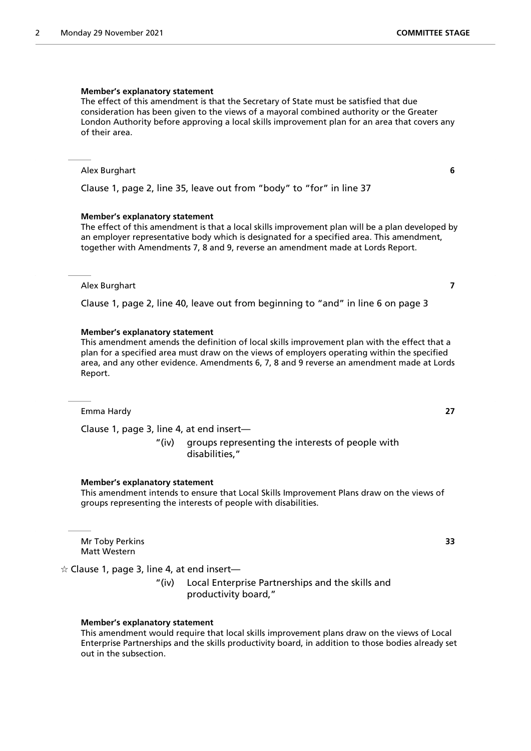The effect of this amendment is that the Secretary of State must be satisfied that due consideration has been given to the views of a mayoral combined authority or the Greater London Authority before approving a local skills improvement plan for an area that covers any of their area.

## Alex Burghart **6**

Clause 1, page 2, line 35, leave out from "body" to "for" in line 37

## **Member's explanatory statement**

The effect of this amendment is that a local skills improvement plan will be a plan developed by an employer representative body which is designated for a specified area. This amendment, together with Amendments 7, 8 and 9, reverse an amendment made at Lords Report.

## Alex Burghart **7**

Clause 1, page 2, line 40, leave out from beginning to "and" in line 6 on page 3

## **Member's explanatory statement**

This amendment amends the definition of local skills improvement plan with the effect that a plan for a specified area must draw on the views of employers operating within the specified area, and any other evidence. Amendments 6, 7, 8 and 9 reverse an amendment made at Lords Report.

Emma Hardy **27**

Clause 1, page 3, line 4, at end insert—

"(iv) groups representing the interests of people with disabilities,"

## **Member's explanatory statement**

This amendment intends to ensure that Local Skills Improvement Plans draw on the views of groups representing the interests of people with disabilities.

Mr Toby Perkins **33** Matt Western

 $\dot{\varphi}$  Clause 1, page 3, line 4, at end insert—

"(iv) Local Enterprise Partnerships and the skills and productivity board,"

## **Member's explanatory statement**

This amendment would require that local skills improvement plans draw on the views of Local Enterprise Partnerships and the skills productivity board, in addition to those bodies already set out in the subsection.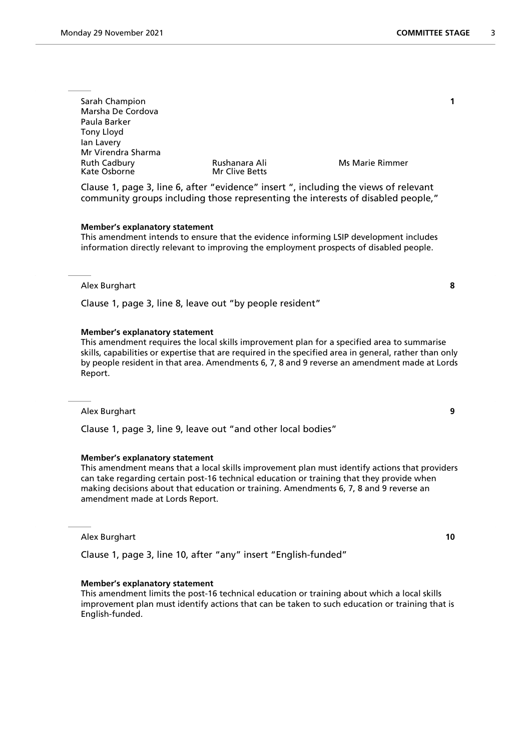| Sarah Champion<br>Marsha De Cordova<br>Paula Barker |                                        |                        |  |
|-----------------------------------------------------|----------------------------------------|------------------------|--|
| Tony Lloyd<br>lan Lavery                            |                                        |                        |  |
| Mr Virendra Sharma                                  |                                        |                        |  |
| <b>Ruth Cadbury</b><br>Kate Osborne                 | Rushanara Ali<br><b>Mr Clive Betts</b> | <b>Ms Marie Rimmer</b> |  |
|                                                     |                                        |                        |  |

Clause 1, page 3, line 6, after "evidence" insert ", including the views of relevant community groups including those representing the interests of disabled people,"

#### **Member's explanatory statement**

This amendment intends to ensure that the evidence informing LSIP development includes information directly relevant to improving the employment prospects of disabled people.

#### Alex Burghart **8**

Clause 1, page 3, line 8, leave out "by people resident"

#### **Member's explanatory statement**

This amendment requires the local skills improvement plan for a specified area to summarise skills, capabilities or expertise that are required in the specified area in general, rather than only by people resident in that area. Amendments 6, 7, 8 and 9 reverse an amendment made at Lords Report.

#### Alex Burghart **9**

Clause 1, page 3, line 9, leave out "and other local bodies"

#### **Member's explanatory statement**

This amendment means that a local skills improvement plan must identify actions that providers can take regarding certain post-16 technical education or training that they provide when making decisions about that education or training. Amendments 6, 7, 8 and 9 reverse an amendment made at Lords Report.

#### Alex Burghart **10**

Clause 1, page 3, line 10, after "any" insert "English-funded"

#### **Member's explanatory statement**

This amendment limits the post-16 technical education or training about which a local skills improvement plan must identify actions that can be taken to such education or training that is English-funded.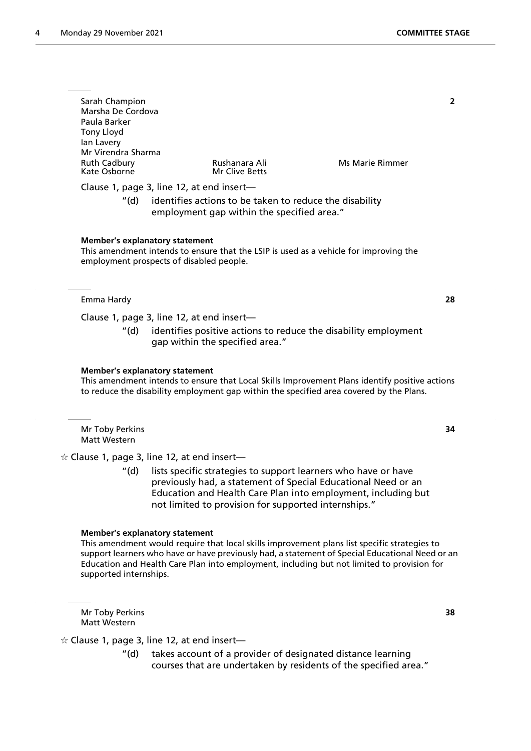| Sarah Champion<br>Marsha De Cordova<br>Paula Barker<br>Tony Lloyd<br>lan Lavery<br>Mr Virendra Sharma |                                 |                 |  |  |  |
|-------------------------------------------------------------------------------------------------------|---------------------------------|-----------------|--|--|--|
| <b>Ruth Cadbury</b><br>Kate Osborne                                                                   | Rushanara Ali<br>Mr Clive Betts | Ms Marie Rimmer |  |  |  |
|                                                                                                       |                                 |                 |  |  |  |
| Clause 1, page 3, line 12, at end insert-                                                             |                                 |                 |  |  |  |
| identifies actions to be taken to reduce the disability<br>"(d)                                       |                                 |                 |  |  |  |
| employment gap within the specified area."                                                            |                                 |                 |  |  |  |
|                                                                                                       |                                 |                 |  |  |  |
|                                                                                                       |                                 |                 |  |  |  |
| Member's explanatory statement                                                                        |                                 |                 |  |  |  |
| This amendment intends to ensure that the LSIP is used as a vehicle for improving the                 |                                 |                 |  |  |  |

## Emma Hardy **28**

Clause 1, page 3, line 12, at end insert—

employment prospects of disabled people.

"(d) identifies positive actions to reduce the disability employment gap within the specified area."

#### **Member's explanatory statement**

This amendment intends to ensure that Local Skills Improvement Plans identify positive actions to reduce the disability employment gap within the specified area covered by the Plans.

Mr Toby Perkins **34** Matt Western

 $\dot{\varphi}$  Clause 1, page 3, line 12, at end insert—

"(d) lists specific strategies to support learners who have or have previously had, a statement of Special Educational Need or an Education and Health Care Plan into employment, including but not limited to provision for supported internships."

#### **Member's explanatory statement**

This amendment would require that local skills improvement plans list specific strategies to support learners who have or have previously had, a statement of Special Educational Need or an Education and Health Care Plan into employment, including but not limited to provision for supported internships.

Mr Toby Perkins **38** Matt Western

 $\hat{\mathcal{A}}$  Clause 1, page 3, line 12, at end insert-

"(d) takes account of a provider of designated distance learning courses that are undertaken by residents of the specified area."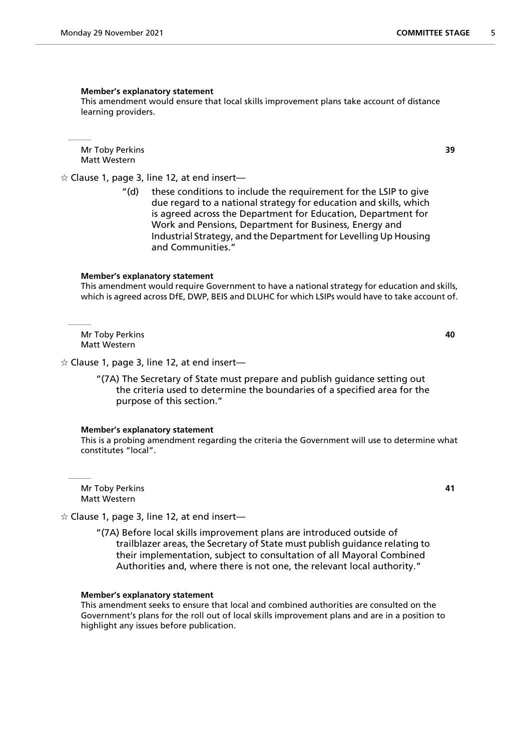This amendment would ensure that local skills improvement plans take account of distance learning providers.

Mr Toby Perkins **39** Matt Western

 $\alpha$  Clause 1, page 3, line 12, at end insert—

"(d) these conditions to include the requirement for the LSIP to give due regard to a national strategy for education and skills, which is agreed across the Department for Education, Department for Work and Pensions, Department for Business, Energy and Industrial Strategy, and the Department for Levelling Up Housing and Communities."

#### **Member's explanatory statement**

This amendment would require Government to have a national strategy for education and skills, which is agreed across DfE, DWP, BEIS and DLUHC for which LSIPs would have to take account of.

Mr Toby Perkins **40** Matt Western

 $\hat{\varphi}$  Clause 1, page 3, line 12, at end insert—

"(7A) The Secretary of State must prepare and publish guidance setting out the criteria used to determine the boundaries of a specified area for the purpose of this section."

#### **Member's explanatory statement**

This is a probing amendment regarding the criteria the Government will use to determine what constitutes "local".

Mr Toby Perkins **41** Matt Western

- $\hat{\mathcal{A}}$  Clause 1, page 3, line 12, at end insert-
	- "(7A) Before local skills improvement plans are introduced outside of trailblazer areas, the Secretary of State must publish guidance relating to their implementation, subject to consultation of all Mayoral Combined Authorities and, where there is not one, the relevant local authority."

#### **Member's explanatory statement**

This amendment seeks to ensure that local and combined authorities are consulted on the Government's plans for the roll out of local skills improvement plans and are in a position to highlight any issues before publication.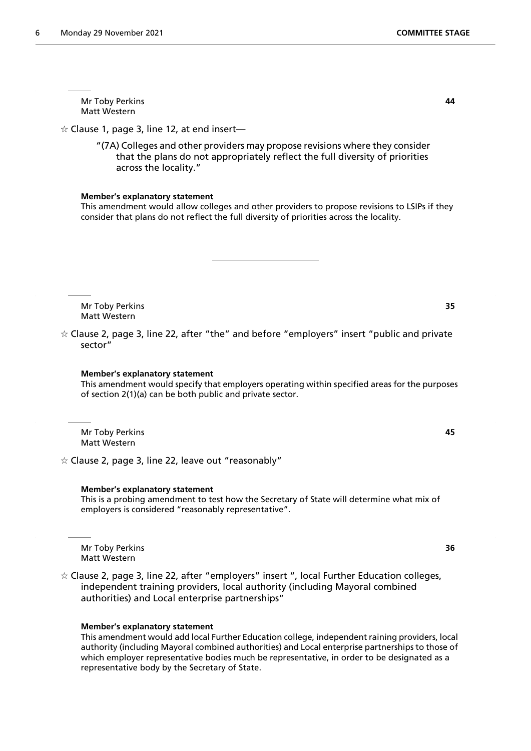Mr Toby Perkins **44** Matt Western

 $\dot{\varphi}$  Clause 1, page 3, line 12, at end insert—

"(7A) Colleges and other providers may propose revisions where they consider that the plans do not appropriately reflect the full diversity of priorities across the locality."

## **Member's explanatory statement**

This amendment would allow colleges and other providers to propose revisions to LSIPs if they consider that plans do not reflect the full diversity of priorities across the locality.

Mr Toby Perkins **35** Matt Western

 $\dot{\varphi}$  Clause 2, page 3, line 22, after "the" and before "employers" insert "public and private sector"

## **Member's explanatory statement**

This amendment would specify that employers operating within specified areas for the purposes of section 2(1)(a) can be both public and private sector.

Mr Toby Perkins **45** Matt Western

 $\dot{\varphi}$  Clause 2, page 3, line 22, leave out "reasonably"

#### **Member's explanatory statement**

This is a probing amendment to test how the Secretary of State will determine what mix of employers is considered "reasonably representative".

Mr Toby Perkins **36** Matt Western

 $\dot{\mathbf{r}}$  Clause 2, page 3, line 22, after "employers" insert ", local Further Education colleges, independent training providers, local authority (including Mayoral combined authorities) and Local enterprise partnerships"

## **Member's explanatory statement**

This amendment would add local Further Education college, independent raining providers, local authority (including Mayoral combined authorities) and Local enterprise partnerships to those of which employer representative bodies much be representative, in order to be designated as a representative body by the Secretary of State.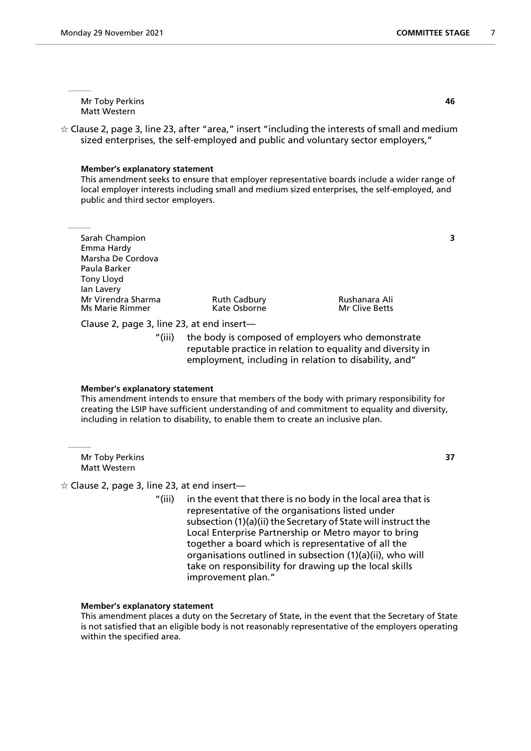Mr Toby Perkins **46** Matt Western

 $\dot{\varphi}$  Clause 2, page 3, line 23, after "area," insert "including the interests of small and medium sized enterprises, the self-employed and public and voluntary sector employers,"

#### **Member's explanatory statement**

This amendment seeks to ensure that employer representative boards include a wider range of local employer interests including small and medium sized enterprises, the self-employed, and public and third sector employers.

| Sarah Champion         |                     |                |  |
|------------------------|---------------------|----------------|--|
| Emma Hardy             |                     |                |  |
| Marsha De Cordova      |                     |                |  |
| Paula Barker           |                     |                |  |
| Tony Lloyd             |                     |                |  |
| lan Lavery             |                     |                |  |
| Mr Virendra Sharma     | <b>Ruth Cadbury</b> | Rushanara Ali  |  |
| <b>Ms Marie Rimmer</b> | Kate Osborne        | Mr Clive Betts |  |
|                        |                     |                |  |

Clause 2, page 3, line 23, at end insert—

"(iii) the body is composed of employers who demonstrate reputable practice in relation to equality and diversity in employment, including in relation to disability, and"

#### **Member's explanatory statement**

This amendment intends to ensure that members of the body with primary responsibility for creating the LSIP have sufficient understanding of and commitment to equality and diversity, including in relation to disability, to enable them to create an inclusive plan.

Mr Toby Perkins **37** Matt Western

## $\dot{\varphi}$  Clause 2, page 3, line 23, at end insert—

"(iii) in the event that there is no body in the local area that is representative of the organisations listed under subsection (1)(a)(ii) the Secretary of State will instruct the Local Enterprise Partnership or Metro mayor to bring together a board which is representative of all the organisations outlined in subsection (1)(a)(ii), who will take on responsibility for drawing up the local skills improvement plan."

## **Member's explanatory statement**

This amendment places a duty on the Secretary of State, in the event that the Secretary of State is not satisfied that an eligible body is not reasonably representative of the employers operating within the specified area.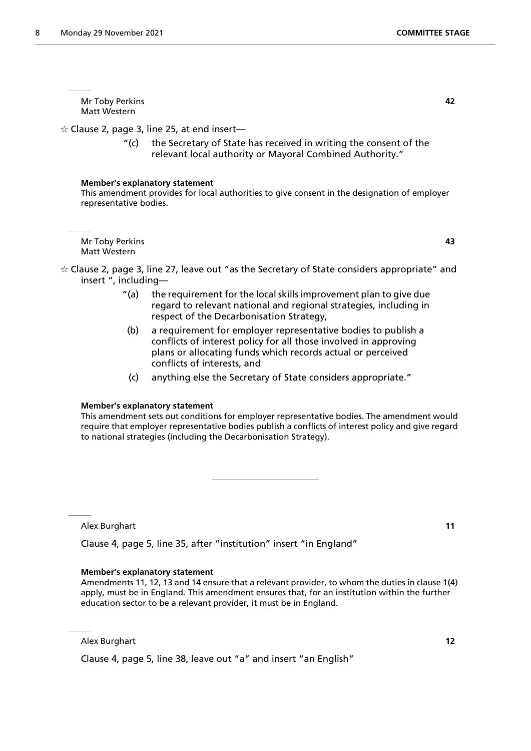Mr Toby Perkins **42** Matt Western

 $\dot{\varphi}$  Clause 2, page 3, line 25, at end insert—

"(c) the Secretary of State has received in writing the consent of the relevant local authority or Mayoral Combined Authority."

## **Member's explanatory statement**

This amendment provides for local authorities to give consent in the designation of employer representative bodies.

Mr Toby Perkins **43** Matt Western

- $\dot{\varphi}$  Clause 2, page 3, line 27, leave out "as the Secretary of State considers appropriate" and insert ", including—
	- "(a) the requirement for the local skills improvement plan to give due regard to relevant national and regional strategies, including in respect of the Decarbonisation Strategy,
	- (b) a requirement for employer representative bodies to publish a conflicts of interest policy for all those involved in approving plans or allocating funds which records actual or perceived conflicts of interests, and
	- (c) anything else the Secretary of State considers appropriate."

## **Member's explanatory statement**

This amendment sets out conditions for employer representative bodies. The amendment would require that employer representative bodies publish a conflicts of interest policy and give regard to national strategies (including the Decarbonisation Strategy).

Alex Burghart **11**

Clause 4, page 5, line 35, after "institution" insert "in England"

#### **Member's explanatory statement**

Amendments 11, 12, 13 and 14 ensure that a relevant provider, to whom the duties in clause 1(4) apply, must be in England. This amendment ensures that, for an institution within the further education sector to be a relevant provider, it must be in England.

Alex Burghart **12**

Clause 4, page 5, line 38, leave out "a" and insert "an English"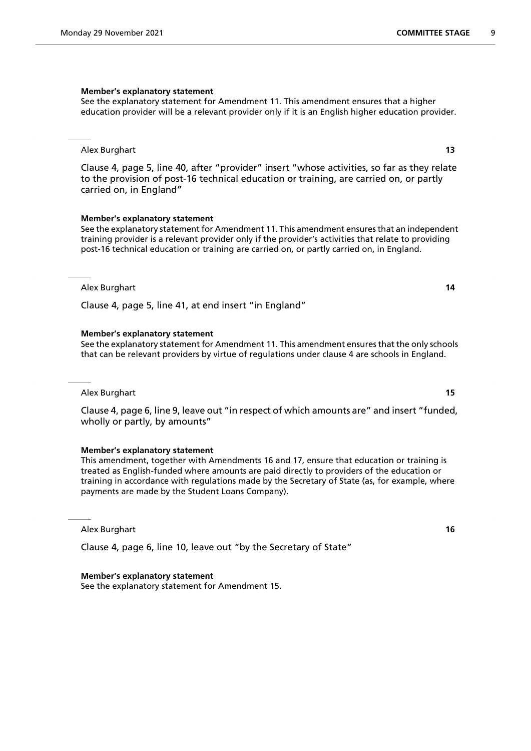See the explanatory statement for Amendment 11. This amendment ensures that a higher education provider will be a relevant provider only if it is an English higher education provider.

## Alex Burghart **13**

Clause 4, page 5, line 40, after "provider" insert "whose activities, so far as they relate to the provision of post-16 technical education or training, are carried on, or partly carried on, in England"

## **Member's explanatory statement**

See the explanatory statement for Amendment 11. This amendment ensures that an independent training provider is a relevant provider only if the provider's activities that relate to providing post-16 technical education or training are carried on, or partly carried on, in England.

## Alex Burghart **14**

Clause 4, page 5, line 41, at end insert "in England"

## **Member's explanatory statement**

See the explanatory statement for Amendment 11. This amendment ensures that the only schools that can be relevant providers by virtue of regulations under clause 4 are schools in England.

#### Alex Burghart **15**

Clause 4, page 6, line 9, leave out "in respect of which amounts are" and insert "funded, wholly or partly, by amounts"

## **Member's explanatory statement**

This amendment, together with Amendments 16 and 17, ensure that education or training is treated as English-funded where amounts are paid directly to providers of the education or training in accordance with regulations made by the Secretary of State (as, for example, where payments are made by the Student Loans Company).

#### Alex Burghart **16**

Clause 4, page 6, line 10, leave out "by the Secretary of State"

#### **Member's explanatory statement**

See the explanatory statement for Amendment 15.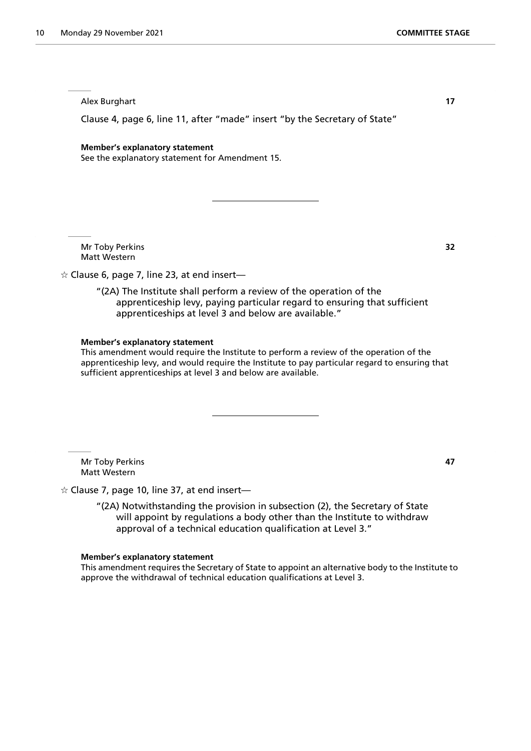Alex Burghart **17**

Clause 4, page 6, line 11, after "made" insert "by the Secretary of State"

#### **Member's explanatory statement**

See the explanatory statement for Amendment 15.

Mr Toby Perkins **32** Matt Western

 $\dot{\varphi}$  Clause 6, page 7, line 23, at end insert—

"(2A) The Institute shall perform a review of the operation of the apprenticeship levy, paying particular regard to ensuring that sufficient apprenticeships at level 3 and below are available."

#### **Member's explanatory statement**

This amendment would require the Institute to perform a review of the operation of the apprenticeship levy, and would require the Institute to pay particular regard to ensuring that sufficient apprenticeships at level 3 and below are available.

Mr Toby Perkins **47** Matt Western

 $\angle$  Clause 7, page 10, line 37, at end insert-

"(2A) Notwithstanding the provision in subsection (2), the Secretary of State will appoint by regulations a body other than the Institute to withdraw approval of a technical education qualification at Level 3."

#### **Member's explanatory statement**

This amendment requires the Secretary of State to appoint an alternative body to the Institute to approve the withdrawal of technical education qualifications at Level 3.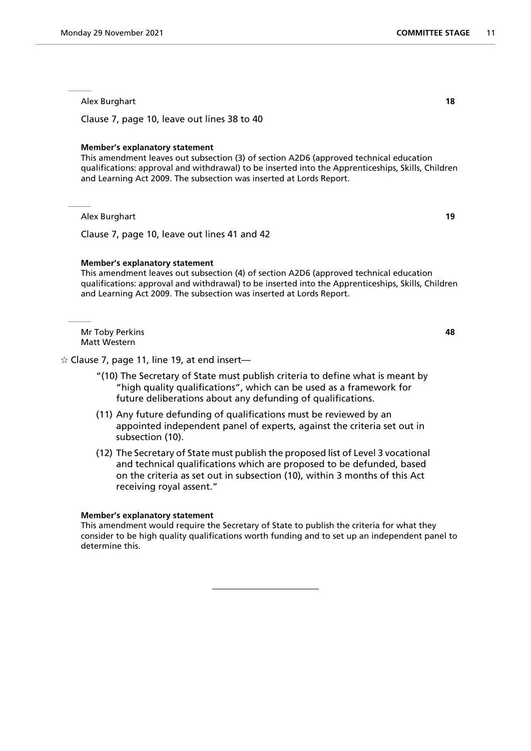Alex Burghart **18**

Clause 7, page 10, leave out lines 38 to 40

## **Member's explanatory statement**

This amendment leaves out subsection (3) of section A2D6 (approved technical education qualifications: approval and withdrawal) to be inserted into the Apprenticeships, Skills, Children and Learning Act 2009. The subsection was inserted at Lords Report.

Alex Burghart **19**

Clause 7, page 10, leave out lines 41 and 42

## **Member's explanatory statement**

This amendment leaves out subsection (4) of section A2D6 (approved technical education qualifications: approval and withdrawal) to be inserted into the Apprenticeships, Skills, Children and Learning Act 2009. The subsection was inserted at Lords Report.

Mr Toby Perkins **48** Matt Western

 $\dot{\varphi}$  Clause 7, page 11, line 19, at end insert—

- "(10) The Secretary of State must publish criteria to define what is meant by "high quality qualifications", which can be used as a framework for future deliberations about any defunding of qualifications.
- (11) Any future defunding of qualifications must be reviewed by an appointed independent panel of experts, against the criteria set out in subsection (10).
- (12) The Secretary of State must publish the proposed list of Level 3 vocational and technical qualifications which are proposed to be defunded, based on the criteria as set out in subsection (10), within 3 months of this Act receiving royal assent."

## **Member's explanatory statement**

This amendment would require the Secretary of State to publish the criteria for what they consider to be high quality qualifications worth funding and to set up an independent panel to determine this.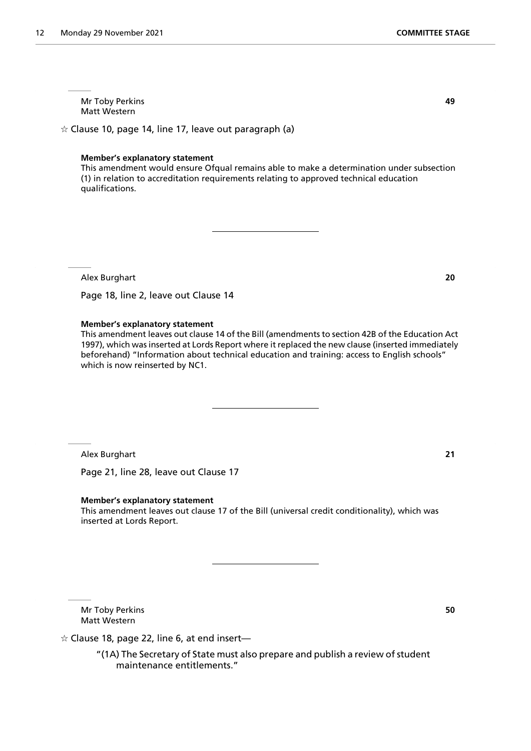Mr Toby Perkins **49** Matt Western

 $\dot{\varphi}$  Clause 10, page 14, line 17, leave out paragraph (a)

## **Member's explanatory statement**

This amendment would ensure Ofqual remains able to make a determination under subsection (1) in relation to accreditation requirements relating to approved technical education qualifications.

Alex Burghart **20**

Page 18, line 2, leave out Clause 14

## **Member's explanatory statement**

This amendment leaves out clause 14 of the Bill (amendments to section 42B of the Education Act 1997), which was inserted at Lords Report where it replaced the new clause (inserted immediately beforehand) "Information about technical education and training: access to English schools" which is now reinserted by NC1.

Alex Burghart **21**

Page 21, line 28, leave out Clause 17

#### **Member's explanatory statement**

This amendment leaves out clause 17 of the Bill (universal credit conditionality), which was inserted at Lords Report.

Mr Toby Perkins **50** Matt Western

 $\hat{\varphi}$  Clause 18, page 22, line 6, at end insert—

"(1A) The Secretary of State must also prepare and publish a review of student maintenance entitlements."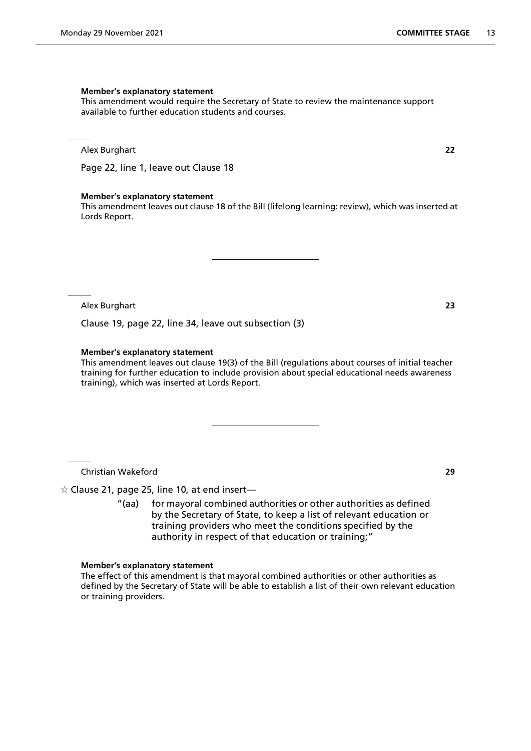This amendment would require the Secretary of State to review the maintenance support available to further education students and courses.

Alex Burghart **22**

Page 22, line 1, leave out Clause 18

#### **Member's explanatory statement**

This amendment leaves out clause 18 of the Bill (lifelong learning: review), which was inserted at Lords Report.

Alex Burghart **23**

Clause 19, page 22, line 34, leave out subsection (3)

## **Member's explanatory statement**

This amendment leaves out clause 19(3) of the Bill (regulations about courses of initial teacher training for further education to include provision about special educational needs awareness training), which was inserted at Lords Report.

Christian Wakeford **29**

 $\angle$  Clause 21, page 25, line 10, at end insert-

"(aa) for mayoral combined authorities or other authorities as defined by the Secretary of State, to keep a list of relevant education or training providers who meet the conditions specified by the authority in respect of that education or training;"

#### **Member's explanatory statement**

The effect of this amendment is that mayoral combined authorities or other authorities as defined by the Secretary of State will be able to establish a list of their own relevant education or training providers.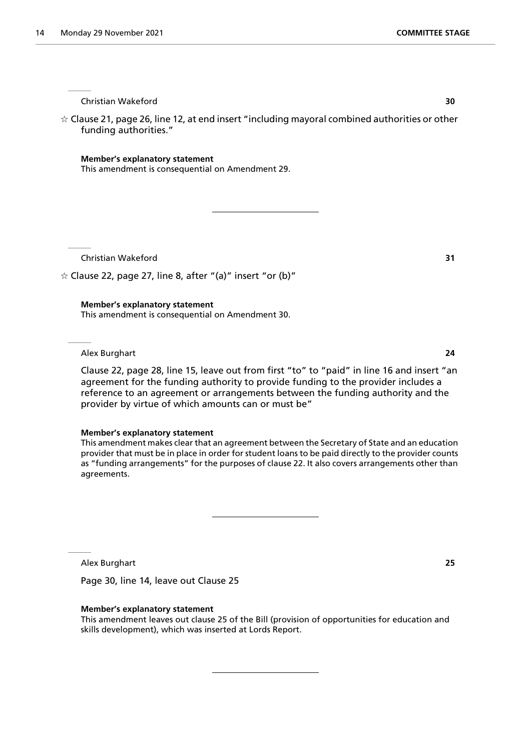Christian Wakeford **30**

 $\dot{\varphi}$  Clause 21, page 26, line 12, at end insert "including mayoral combined authorities or other funding authorities."

## **Member's explanatory statement**

This amendment is consequential on Amendment 29.

Christian Wakeford **31**

 $\dot{\varphi}$  Clause 22, page 27, line 8, after "(a)" insert "or (b)"

**Member's explanatory statement**

This amendment is consequential on Amendment 30.

Alex Burghart **24**

Clause 22, page 28, line 15, leave out from first "to" to "paid" in line 16 and insert "an agreement for the funding authority to provide funding to the provider includes a reference to an agreement or arrangements between the funding authority and the provider by virtue of which amounts can or must be"

#### **Member's explanatory statement**

This amendment makes clear that an agreement between the Secretary of State and an education provider that must be in place in order for student loans to be paid directly to the provider counts as "funding arrangements" for the purposes of clause 22. It also covers arrangements other than agreements.

Alex Burghart **25**

Page 30, line 14, leave out Clause 25

## **Member's explanatory statement**

This amendment leaves out clause 25 of the Bill (provision of opportunities for education and skills development), which was inserted at Lords Report.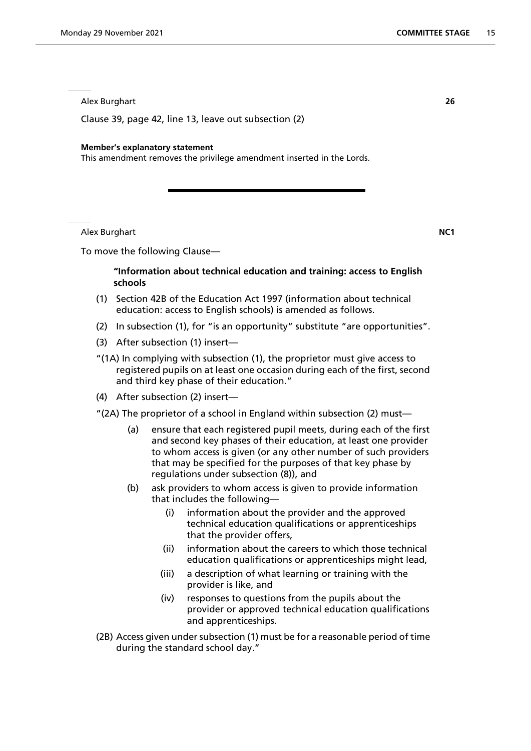Alex Burghart **26**

Clause 39, page 42, line 13, leave out subsection (2)

#### **Member's explanatory statement**

This amendment removes the privilege amendment inserted in the Lords.

Alex Burghart **NC1**

To move the following Clause—

## **"Information about technical education and training: access to English schools**

- (1) Section 42B of the Education Act 1997 (information about technical education: access to English schools) is amended as follows.
- (2) In subsection (1), for "is an opportunity" substitute "are opportunities".
- (3) After subsection (1) insert—
- "(1A) In complying with subsection (1), the proprietor must give access to registered pupils on at least one occasion during each of the first, second and third key phase of their education."
- (4) After subsection (2) insert—
- "(2A) The proprietor of a school in England within subsection (2) must—
	- (a) ensure that each registered pupil meets, during each of the first and second key phases of their education, at least one provider to whom access is given (or any other number of such providers that may be specified for the purposes of that key phase by regulations under subsection (8)), and
	- (b) ask providers to whom access is given to provide information that includes the following—
		- (i) information about the provider and the approved technical education qualifications or apprenticeships that the provider offers,
		- (ii) information about the careers to which those technical education qualifications or apprenticeships might lead,
		- (iii) a description of what learning or training with the provider is like, and
		- (iv) responses to questions from the pupils about the provider or approved technical education qualifications and apprenticeships.
- (2B) Access given under subsection (1) must be for a reasonable period of time during the standard school day."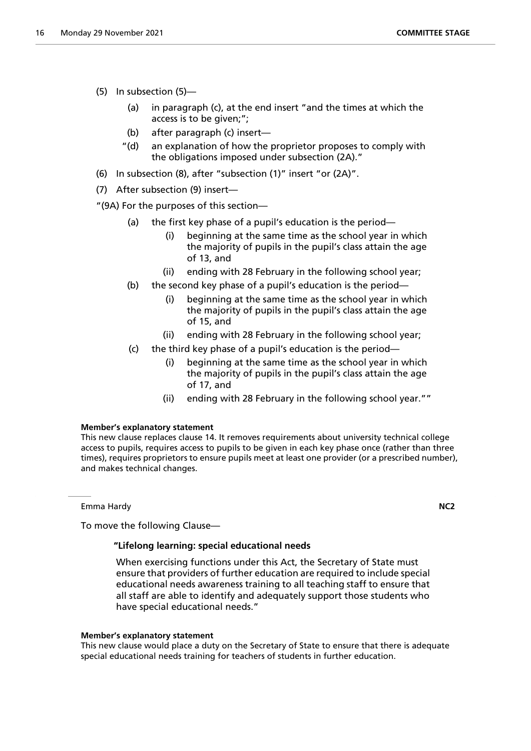- (5) In subsection (5)—
	- (a) in paragraph (c), at the end insert "and the times at which the access is to be given;";
	- (b) after paragraph (c) insert—
	- "(d) an explanation of how the proprietor proposes to comply with the obligations imposed under subsection (2A)."
- (6) In subsection (8), after "subsection (1)" insert "or (2A)".
- (7) After subsection (9) insert—

"(9A) For the purposes of this section—

- (a) the first key phase of a pupil's education is the period—
	- (i) beginning at the same time as the school year in which the majority of pupils in the pupil's class attain the age of 13, and
	- (ii) ending with 28 February in the following school year;
- (b) the second key phase of a pupil's education is the period—
	- (i) beginning at the same time as the school year in which the majority of pupils in the pupil's class attain the age of 15, and
	- (ii) ending with 28 February in the following school year;
- (c) the third key phase of a pupil's education is the period—
	- (i) beginning at the same time as the school year in which the majority of pupils in the pupil's class attain the age of 17, and
	- (ii) ending with 28 February in the following school year.""

## **Member's explanatory statement**

This new clause replaces clause 14. It removes requirements about university technical college access to pupils, requires access to pupils to be given in each key phase once (rather than three times), requires proprietors to ensure pupils meet at least one provider (or a prescribed number), and makes technical changes.

Emma Hardy **NC2**

To move the following Clause—

## **"Lifelong learning: special educational needs**

 When exercising functions under this Act, the Secretary of State must ensure that providers of further education are required to include special educational needs awareness training to all teaching staff to ensure that all staff are able to identify and adequately support those students who have special educational needs."

## **Member's explanatory statement**

This new clause would place a duty on the Secretary of State to ensure that there is adequate special educational needs training for teachers of students in further education.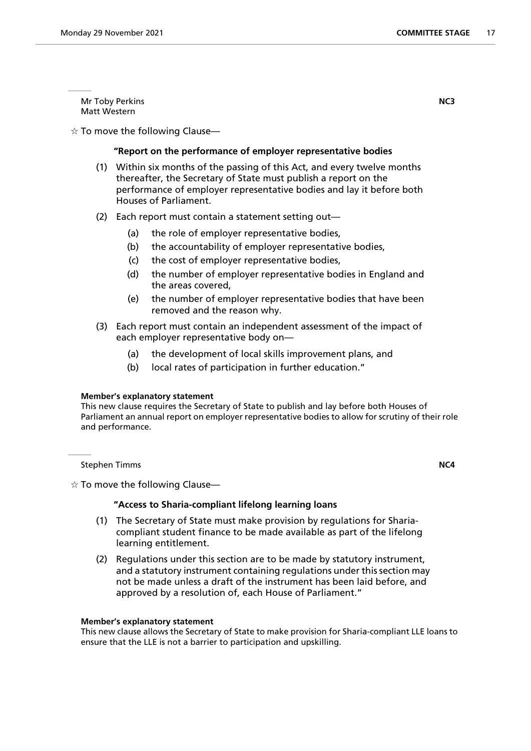Mr Toby Perkins **NC3** Matt Western

 $\dot{\varphi}$  To move the following Clause—

## **"Report on the performance of employer representative bodies**

- (1) Within six months of the passing of this Act, and every twelve months thereafter, the Secretary of State must publish a report on the performance of employer representative bodies and lay it before both Houses of Parliament.
- (2) Each report must contain a statement setting out—
	- (a) the role of employer representative bodies,
	- (b) the accountability of employer representative bodies,
	- (c) the cost of employer representative bodies,
	- (d) the number of employer representative bodies in England and the areas covered,
	- (e) the number of employer representative bodies that have been removed and the reason why.
- (3) Each report must contain an independent assessment of the impact of each employer representative body on—
	- (a) the development of local skills improvement plans, and
	- (b) local rates of participation in further education."

## **Member's explanatory statement**

This new clause requires the Secretary of State to publish and lay before both Houses of Parliament an annual report on employer representative bodies to allow for scrutiny of their role and performance.

**Stephen Timms NC4** 

 $\dot{\mathbf{r}}$  To move the following Clause—

## **"Access to Sharia-compliant lifelong learning loans**

- (1) The Secretary of State must make provision by regulations for Shariacompliant student finance to be made available as part of the lifelong learning entitlement.
- (2) Regulations under this section are to be made by statutory instrument, and a statutory instrument containing regulations under this section may not be made unless a draft of the instrument has been laid before, and approved by a resolution of, each House of Parliament."

#### **Member's explanatory statement**

This new clause allows the Secretary of State to make provision for Sharia-compliant LLE loans to ensure that the LLE is not a barrier to participation and upskilling.